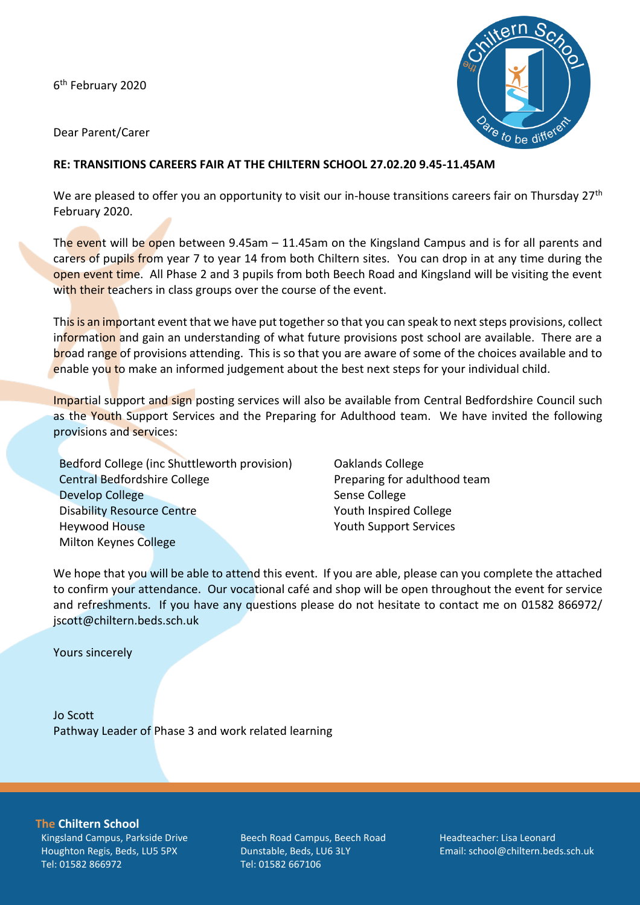6<sup>th</sup> February 2020



Dear Parent/Carer

## **RE: TRANSITIONS CAREERS FAIR AT THE CHILTERN SCHOOL 27.02.20 9.45-11.45AM**

We are pleased to offer you an opportunity to visit our in-house transitions careers fair on Thursday 27<sup>th</sup> February 2020.

The event will be open between  $9.45$ am  $-11.45$ am on the Kingsland Campus and is for all parents and carers of pupils from year 7 to year 14 from both Chiltern sites. You can drop in at any time during the open event time. All Phase 2 and 3 pupils from both Beech Road and Kingsland will be visiting the event with their teachers in class groups over the course of the event.

This is an important event that we have put together so that you can speak to next steps provisions, collect information and gain an understanding of what future provisions post school are available. There are a broad range of provisions attending. This is so that you are aware of some of the choices available and to enable you to make an informed judgement about the best next steps for your individual child.

Impartial support and sign posting services will also be available from Central Bedfordshire Council such as the Youth Support Services and the Preparing for Adulthood team. We have invited the following provisions and services:

Bedford College (inc Shuttleworth provision) Central Bedfordshire College Develop College Disability Resource Centre Heywood House Milton Keynes College

Oaklands College Preparing for adulthood team Sense College Youth Inspired College Youth Support Services

We hope that you will be able to attend this event. If you are able, please can you complete the attached to confirm your attendance. Our vocational café and shop will be open throughout the event for service and refreshments. If you have any questions please do not hesitate to contact me on 01582 866972/ jscott@chiltern.beds.sch.uk

Yours sincerely

Jo Scott Pathway Leader of Phase 3 and work related learning

**The Chiltern School**

Kingsland Campus, Parkside Drive Houghton Regis, Beds, LU5 5PX Tel: 01582 866972

Beech Road Campus, Beech Road Dunstable, Beds, LU6 3LY Tel: 01582 667106

Headteacher: Lisa Leonard Email: school@chiltern.beds.sch.uk